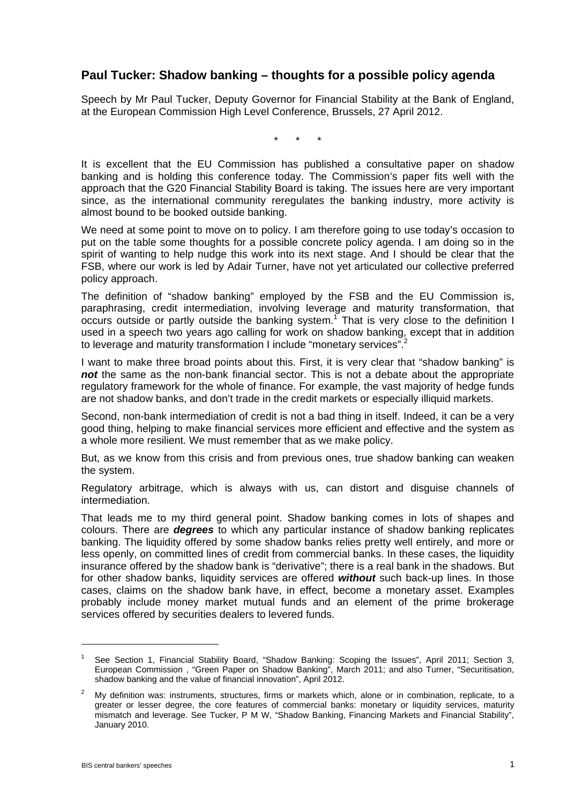# **Paul Tucker: Shadow banking – thoughts for a possible policy agenda**

Speech by Mr Paul Tucker, Deputy Governor for Financial Stability at the Bank of England, at the European Commission High Level Conference, Brussels, 27 April 2012.

\* \* \*

It is excellent that the EU Commission has published a consultative paper on shadow banking and is holding this conference today. The Commission's paper fits well with the approach that the G20 Financial Stability Board is taking. The issues here are very important since, as the international community reregulates the banking industry, more activity is almost bound to be booked outside banking.

We need at some point to move on to policy. I am therefore going to use today's occasion to put on the table some thoughts for a possible concrete policy agenda. I am doing so in the spirit of wanting to help nudge this work into its next stage. And I should be clear that the FSB, where our work is led by Adair Turner, have not yet articulated our collective preferred policy approach.

The definition of "shadow banking" employed by the FSB and the EU Commission is, paraphrasing, credit intermediation, involving leverage and maturity transformation, that occurs outside or partly outside the banking system.<sup>1</sup> That is very close to the definition I used in a speech two years ago calling for work on shadow banking, except that in addition to leverage and maturity transformation I include "monetary services".

I want to make three broad points about this. First, it is very clear that "shadow banking" is not the same as the non-bank financial sector. This is not a debate about the appropriate regulatory framework for the whole of finance. For example, the vast majority of hedge funds are not shadow banks, and don't trade in the credit markets or especially illiquid markets.

Second, non-bank intermediation of credit is not a bad thing in itself. Indeed, it can be a very good thing, helping to make financial services more efficient and effective and the system as a whole more resilient. We must remember that as we make policy.

But, as we know from this crisis and from previous ones, true shadow banking can weaken the system.

Regulatory arbitrage, which is always with us, can distort and disguise channels of intermediation.

That leads me to my third general point. Shadow banking comes in lots of shapes and colours. There are *degrees* to which any particular instance of shadow banking replicates banking. The liquidity offered by some shadow banks relies pretty well entirely, and more or less openly, on committed lines of credit from commercial banks. In these cases, the liquidity insurance offered by the shadow bank is "derivative"; there is a real bank in the shadows. But for other shadow banks, liquidity services are offered *without* such back-up lines. In those cases, claims on the shadow bank have, in effect, become a monetary asset. Examples probably include money market mutual funds and an element of the prime brokerage services offered by securities dealers to levered funds.

<sup>1</sup> See Section 1, Financial Stability Board, "Shadow Banking: Scoping the Issues", April 2011; Section 3, European Commission , "Green Paper on Shadow Banking", March 2011; and also Turner, "Securitisation, shadow banking and the value of financial innovation", April 2012.

 $\mathfrak{p}$  My definition was: instruments, structures, firms or markets which, alone or in combination, replicate, to a greater or lesser degree, the core features of commercial banks: monetary or liquidity services, maturity mismatch and leverage. See Tucker, P M W, "Shadow Banking, Financing Markets and Financial Stability", January 2010.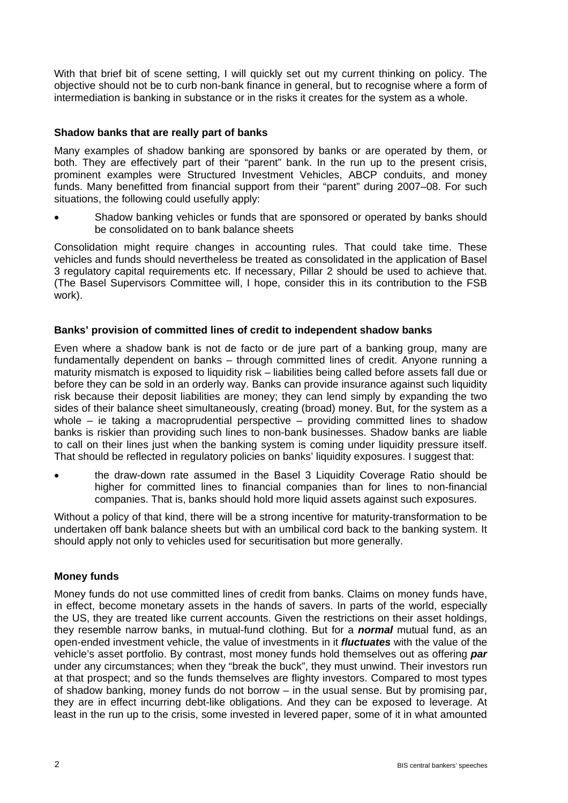With that brief bit of scene setting, I will quickly set out my current thinking on policy. The objective should not be to curb non-bank finance in general, but to recognise where a form of intermediation is banking in substance or in the risks it creates for the system as a whole.

# **Shadow banks that are really part of banks**

Many examples of shadow banking are sponsored by banks or are operated by them, or both. They are effectively part of their "parent" bank. In the run up to the present crisis, prominent examples were Structured Investment Vehicles, ABCP conduits, and money funds. Many benefitted from financial support from their "parent" during 2007–08. For such situations, the following could usefully apply:

 Shadow banking vehicles or funds that are sponsored or operated by banks should be consolidated on to bank balance sheets

Consolidation might require changes in accounting rules. That could take time. These vehicles and funds should nevertheless be treated as consolidated in the application of Basel 3 regulatory capital requirements etc. If necessary, Pillar 2 should be used to achieve that. (The Basel Supervisors Committee will, I hope, consider this in its contribution to the FSB work).

# **Banks' provision of committed lines of credit to independent shadow banks**

Even where a shadow bank is not de facto or de jure part of a banking group, many are fundamentally dependent on banks – through committed lines of credit. Anyone running a maturity mismatch is exposed to liquidity risk – liabilities being called before assets fall due or before they can be sold in an orderly way. Banks can provide insurance against such liquidity risk because their deposit liabilities are money; they can lend simply by expanding the two sides of their balance sheet simultaneously, creating (broad) money. But, for the system as a whole – ie taking a macroprudential perspective – providing committed lines to shadow banks is riskier than providing such lines to non-bank businesses. Shadow banks are liable to call on their lines just when the banking system is coming under liquidity pressure itself. That should be reflected in regulatory policies on banks' liquidity exposures. I suggest that:

 the draw-down rate assumed in the Basel 3 Liquidity Coverage Ratio should be higher for committed lines to financial companies than for lines to non-financial companies. That is, banks should hold more liquid assets against such exposures.

Without a policy of that kind, there will be a strong incentive for maturity-transformation to be undertaken off bank balance sheets but with an umbilical cord back to the banking system. It should apply not only to vehicles used for securitisation but more generally.

# **Money funds**

Money funds do not use committed lines of credit from banks. Claims on money funds have, in effect, become monetary assets in the hands of savers. In parts of the world, especially the US, they are treated like current accounts. Given the restrictions on their asset holdings, they resemble narrow banks, in mutual-fund clothing. But for a *normal* mutual fund, as an open-ended investment vehicle, the value of investments in it *fluctuates* with the value of the vehicle's asset portfolio. By contrast, most money funds hold themselves out as offering *par* under any circumstances; when they "break the buck", they must unwind. Their investors run at that prospect; and so the funds themselves are flighty investors. Compared to most types of shadow banking, money funds do not borrow – in the usual sense. But by promising par, they are in effect incurring debt-like obligations. And they can be exposed to leverage. At least in the run up to the crisis, some invested in levered paper, some of it in what amounted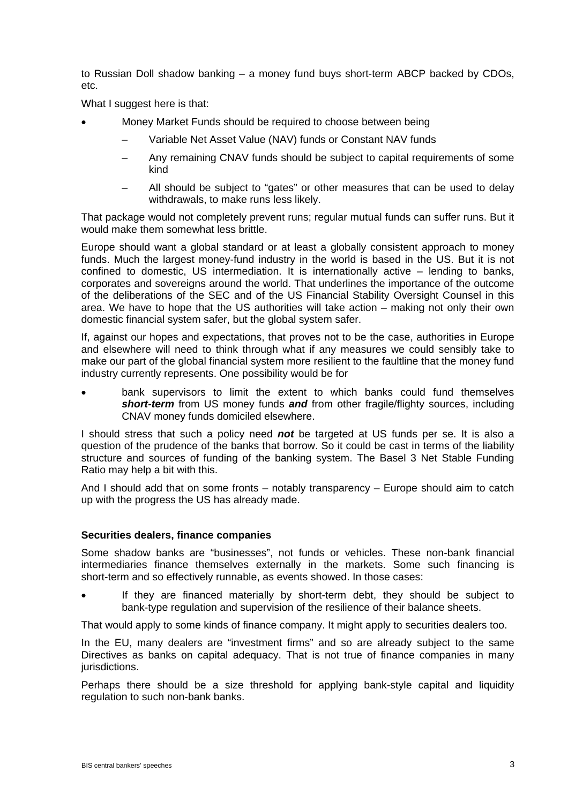to Russian Doll shadow banking – a money fund buys short-term ABCP backed by CDOs, etc.

What I suggest here is that:

- Money Market Funds should be required to choose between being
	- Variable Net Asset Value (NAV) funds or Constant NAV funds
	- Any remaining CNAV funds should be subject to capital requirements of some kind
	- All should be subject to "gates" or other measures that can be used to delay withdrawals, to make runs less likely.

That package would not completely prevent runs; regular mutual funds can suffer runs. But it would make them somewhat less brittle.

Europe should want a global standard or at least a globally consistent approach to money funds. Much the largest money-fund industry in the world is based in the US. But it is not confined to domestic, US intermediation. It is internationally active – lending to banks, corporates and sovereigns around the world. That underlines the importance of the outcome of the deliberations of the SEC and of the US Financial Stability Oversight Counsel in this area. We have to hope that the US authorities will take action – making not only their own domestic financial system safer, but the global system safer.

If, against our hopes and expectations, that proves not to be the case, authorities in Europe and elsewhere will need to think through what if any measures we could sensibly take to make our part of the global financial system more resilient to the faultline that the money fund industry currently represents. One possibility would be for

 bank supervisors to limit the extent to which banks could fund themselves *short-term* from US money funds *and* from other fragile/flighty sources, including CNAV money funds domiciled elsewhere.

I should stress that such a policy need *not* be targeted at US funds per se. It is also a question of the prudence of the banks that borrow. So it could be cast in terms of the liability structure and sources of funding of the banking system. The Basel 3 Net Stable Funding Ratio may help a bit with this.

And I should add that on some fronts – notably transparency – Europe should aim to catch up with the progress the US has already made.

#### **Securities dealers, finance companies**

Some shadow banks are "businesses", not funds or vehicles. These non-bank financial intermediaries finance themselves externally in the markets. Some such financing is short-term and so effectively runnable, as events showed. In those cases:

 If they are financed materially by short-term debt, they should be subject to bank-type regulation and supervision of the resilience of their balance sheets.

That would apply to some kinds of finance company. It might apply to securities dealers too.

In the EU, many dealers are "investment firms" and so are already subject to the same Directives as banks on capital adequacy. That is not true of finance companies in many jurisdictions.

Perhaps there should be a size threshold for applying bank-style capital and liquidity regulation to such non-bank banks.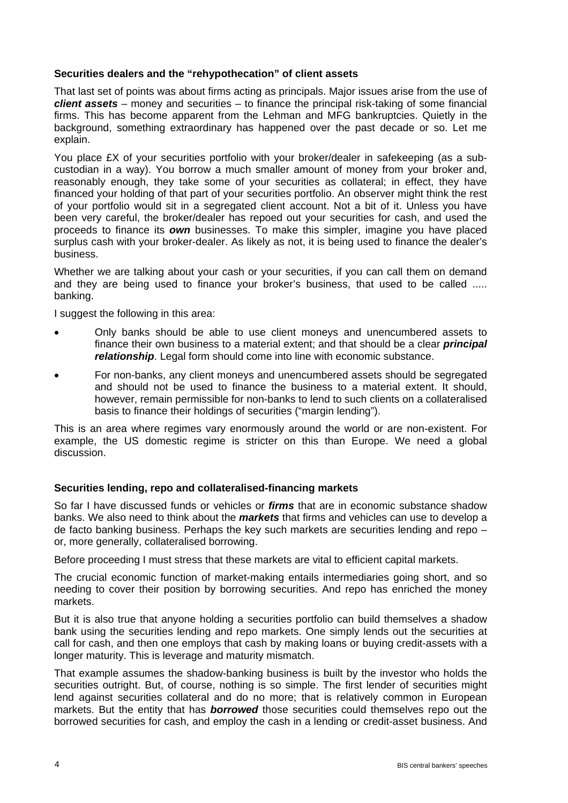# **Securities dealers and the "rehypothecation" of client assets**

That last set of points was about firms acting as principals. Major issues arise from the use of *client assets* – money and securities – to finance the principal risk-taking of some financial firms. This has become apparent from the Lehman and MFG bankruptcies. Quietly in the background, something extraordinary has happened over the past decade or so. Let me explain.

You place £X of your securities portfolio with your broker/dealer in safekeeping (as a subcustodian in a way). You borrow a much smaller amount of money from your broker and, reasonably enough, they take some of your securities as collateral; in effect, they have financed your holding of that part of your securities portfolio. An observer might think the rest of your portfolio would sit in a segregated client account. Not a bit of it. Unless you have been very careful, the broker/dealer has repoed out your securities for cash, and used the proceeds to finance its *own* businesses. To make this simpler, imagine you have placed surplus cash with your broker-dealer. As likely as not, it is being used to finance the dealer's business.

Whether we are talking about your cash or your securities, if you can call them on demand and they are being used to finance your broker's business, that used to be called ..... banking.

I suggest the following in this area:

- Only banks should be able to use client moneys and unencumbered assets to finance their own business to a material extent; and that should be a clear *principal relationship*. Legal form should come into line with economic substance.
- For non-banks, any client moneys and unencumbered assets should be segregated and should not be used to finance the business to a material extent. It should, however, remain permissible for non-banks to lend to such clients on a collateralised basis to finance their holdings of securities ("margin lending").

This is an area where regimes vary enormously around the world or are non-existent. For example, the US domestic regime is stricter on this than Europe. We need a global discussion.

# **Securities lending, repo and collateralised-financing markets**

So far I have discussed funds or vehicles or *firms* that are in economic substance shadow banks. We also need to think about the *markets* that firms and vehicles can use to develop a de facto banking business. Perhaps the key such markets are securities lending and repo – or, more generally, collateralised borrowing.

Before proceeding I must stress that these markets are vital to efficient capital markets.

The crucial economic function of market-making entails intermediaries going short, and so needing to cover their position by borrowing securities. And repo has enriched the money markets.

But it is also true that anyone holding a securities portfolio can build themselves a shadow bank using the securities lending and repo markets. One simply lends out the securities at call for cash, and then one employs that cash by making loans or buying credit-assets with a longer maturity. This is leverage and maturity mismatch.

That example assumes the shadow-banking business is built by the investor who holds the securities outright. But, of course, nothing is so simple. The first lender of securities might lend against securities collateral and do no more; that is relatively common in European markets. But the entity that has *borrowed* those securities could themselves repo out the borrowed securities for cash, and employ the cash in a lending or credit-asset business. And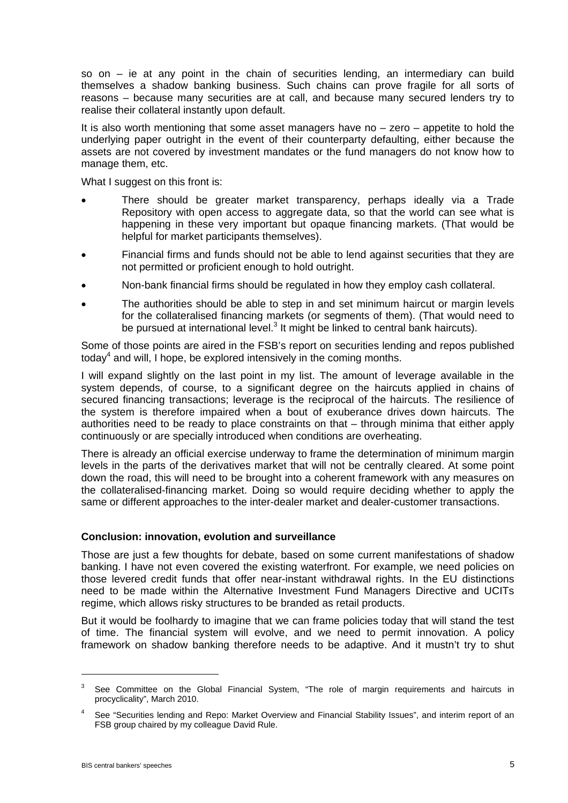so on – ie at any point in the chain of securities lending, an intermediary can build themselves a shadow banking business. Such chains can prove fragile for all sorts of reasons – because many securities are at call, and because many secured lenders try to realise their collateral instantly upon default.

It is also worth mentioning that some asset managers have no – zero – appetite to hold the underlying paper outright in the event of their counterparty defaulting, either because the assets are not covered by investment mandates or the fund managers do not know how to manage them, etc.

What I suggest on this front is:

- There should be greater market transparency, perhaps ideally via a Trade Repository with open access to aggregate data, so that the world can see what is happening in these very important but opaque financing markets. (That would be helpful for market participants themselves).
- Financial firms and funds should not be able to lend against securities that they are not permitted or proficient enough to hold outright.
- Non-bank financial firms should be regulated in how they employ cash collateral.
- The authorities should be able to step in and set minimum haircut or margin levels for the collateralised financing markets (or segments of them). (That would need to be pursued at international level.<sup>3</sup> It might be linked to central bank haircuts).

Some of those points are aired in the FSB's report on securities lending and repos published today<sup>4</sup> and will, I hope, be explored intensively in the coming months.

I will expand slightly on the last point in my list. The amount of leverage available in the system depends, of course, to a significant degree on the haircuts applied in chains of secured financing transactions; leverage is the reciprocal of the haircuts. The resilience of the system is therefore impaired when a bout of exuberance drives down haircuts. The authorities need to be ready to place constraints on that – through minima that either apply continuously or are specially introduced when conditions are overheating.

There is already an official exercise underway to frame the determination of minimum margin levels in the parts of the derivatives market that will not be centrally cleared. At some point down the road, this will need to be brought into a coherent framework with any measures on the collateralised-financing market. Doing so would require deciding whether to apply the same or different approaches to the inter-dealer market and dealer-customer transactions.

#### **Conclusion: innovation, evolution and surveillance**

Those are just a few thoughts for debate, based on some current manifestations of shadow banking. I have not even covered the existing waterfront. For example, we need policies on those levered credit funds that offer near-instant withdrawal rights. In the EU distinctions need to be made within the Alternative Investment Fund Managers Directive and UCITs regime, which allows risky structures to be branded as retail products.

But it would be foolhardy to imagine that we can frame policies today that will stand the test of time. The financial system will evolve, and we need to permit innovation. A policy framework on shadow banking therefore needs to be adaptive. And it mustn't try to shut

<sup>3</sup> See Committee on the Global Financial System, "The role of margin requirements and haircuts in procyclicality", March 2010.

<sup>4</sup> See "Securities lending and Repo: Market Overview and Financial Stability Issues", and interim report of an FSB group chaired by my colleague David Rule.